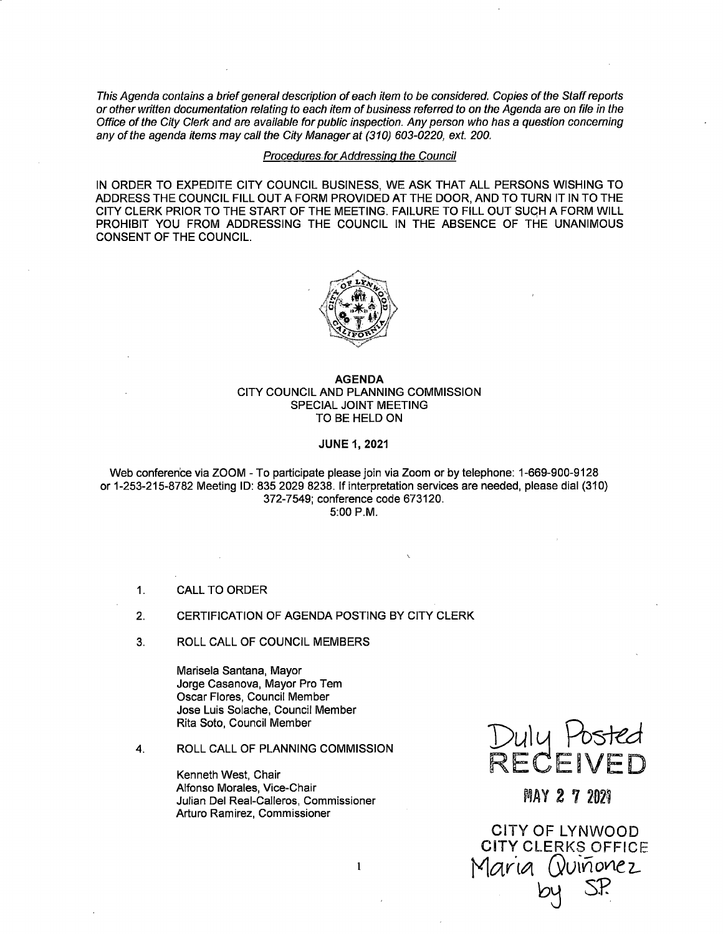This Agenda contains a briefgeneral description of each item to be considered. Copies of the Staff reports or other written documentation relating to each item of business referred to on the Agenda are on file in the Office of the City Clerk and are available for public inspection. Any person who has a question concerning any of the agenda items may call the City Manager at (310) 603-0220, ext. 200.

### Procedures for Addressing the Council

IN ORDER TO EXPEDITE CITY COUNCIL BUSINESS, WE ASK THAT ALL PERSONS WISHING TO ADDRESS THE COUNCIL FILL OUT A FORM PROVIDED AT THE DOOR, AND TO TURN IT IN TO THE CITY CLERK PRIOR TO THE START OF THE MEETING. FAILURE TO FILL OUT SUCH A FORM WILL PROHIBIT YOU FROM ADDRESSING THE COUNCIL IN THE ABSENCE OF THE UNANIMOUS CONSENT OF THE COUNCIL.



### AGENDA CITY COUNCIL AND PLANNING COMMISSION SPECIAL JOINT MEETING TO BE HELD ON

#### JUNE 1, 2021

Web conference via ZOOM - To participate please join via Zoom or by telephone: 1- 669-900-9128 or 1- 253-215- 8782 Meeting ID: 835 2029 8238. If interpretation services are needed, please dial ( 310) 372-7549; conference code 673120. 5: 00 P. M.

 $\mathbf{1}$ 

1. CALL TO ORDER

#### 2. CERTIFICATION OF AGENDA POSTING BY CITY CLERK

3. ROLL CALL OF COUNCIL MEMBERS

Marisela Santana, Mayor Jorge Casanova, Mayor Pro Tem Oscar Flores, Council Member Jose Luis Solache, Council Member Rita Soto, Council Member

4. ROLL CALL OF PLANNING COMMISSION

Kenneth West, Chair Alfonso Morales, Vice-Chair Arturo Ramirez, Commissioner Del Real-Calleros, Commissioner



AY Z

CITY CLERKS OFFICE CITY OF LYNWOOD 3128<br>11 (310)<br>2021<br>7 2021<br>7 2021<br>SP.<br>SP. Maria (vunonez 24 S.P.